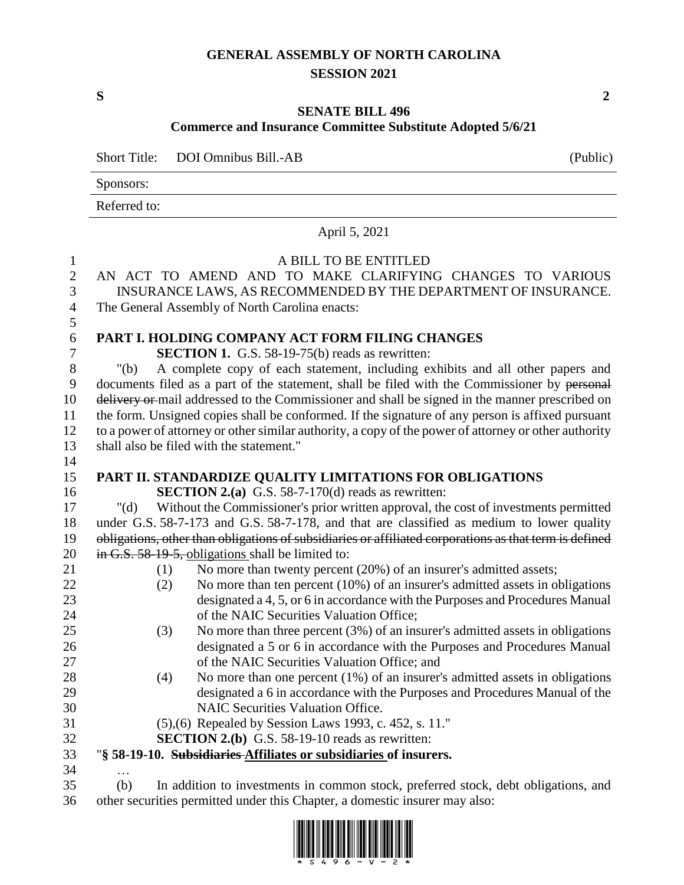## **GENERAL ASSEMBLY OF NORTH CAROLINA SESSION 2021**

**S 2**

## **SENATE BILL 496**

## **Commerce and Insurance Committee Substitute Adopted 5/6/21**

|              | Short Title: DOI Omnibus Bill.-AB | (Public) |
|--------------|-----------------------------------|----------|
| Sponsors:    |                                   |          |
| Referred to: |                                   |          |
|              | April 5, 2021                     |          |

| $\mathbf{1}$   | A BILL TO BE ENTITLED                                                                                  |  |  |  |  |  |  |  |
|----------------|--------------------------------------------------------------------------------------------------------|--|--|--|--|--|--|--|
| $\overline{2}$ | AN ACT TO AMEND AND TO MAKE CLARIFYING CHANGES TO VARIOUS                                              |  |  |  |  |  |  |  |
| 3              | INSURANCE LAWS, AS RECOMMENDED BY THE DEPARTMENT OF INSURANCE.                                         |  |  |  |  |  |  |  |
| $\overline{4}$ | The General Assembly of North Carolina enacts:                                                         |  |  |  |  |  |  |  |
| 5              |                                                                                                        |  |  |  |  |  |  |  |
| $\sqrt{6}$     | PART I. HOLDING COMPANY ACT FORM FILING CHANGES                                                        |  |  |  |  |  |  |  |
| $\overline{7}$ | <b>SECTION 1.</b> G.S. 58-19-75(b) reads as rewritten:                                                 |  |  |  |  |  |  |  |
| $8\,$          | A complete copy of each statement, including exhibits and all other papers and<br>" $(b)$              |  |  |  |  |  |  |  |
| $\mathbf{9}$   | documents filed as a part of the statement, shall be filed with the Commissioner by personal           |  |  |  |  |  |  |  |
| 10             | delivery or mail addressed to the Commissioner and shall be signed in the manner prescribed on         |  |  |  |  |  |  |  |
| 11             | the form. Unsigned copies shall be conformed. If the signature of any person is affixed pursuant       |  |  |  |  |  |  |  |
| 12             | to a power of attorney or other similar authority, a copy of the power of attorney or other authority  |  |  |  |  |  |  |  |
| 13             | shall also be filed with the statement."                                                               |  |  |  |  |  |  |  |
| 14             |                                                                                                        |  |  |  |  |  |  |  |
| 15             | PART II. STANDARDIZE QUALITY LIMITATIONS FOR OBLIGATIONS                                               |  |  |  |  |  |  |  |
| 16             | <b>SECTION 2.(a)</b> G.S. 58-7-170(d) reads as rewritten:                                              |  |  |  |  |  |  |  |
| 17             | " $(d)$<br>Without the Commissioner's prior written approval, the cost of investments permitted        |  |  |  |  |  |  |  |
| 18             | under G.S. 58-7-173 and G.S. 58-7-178, and that are classified as medium to lower quality              |  |  |  |  |  |  |  |
| 19             | obligations, other than obligations of subsidiaries or affiliated corporations as that term is defined |  |  |  |  |  |  |  |
| 20             | in G.S. 58-19-5, obligations shall be limited to:                                                      |  |  |  |  |  |  |  |
| 21             | No more than twenty percent (20%) of an insurer's admitted assets;<br>(1)                              |  |  |  |  |  |  |  |
| 22             | No more than ten percent (10%) of an insurer's admitted assets in obligations<br>(2)                   |  |  |  |  |  |  |  |
| 23             | designated a 4, 5, or 6 in accordance with the Purposes and Procedures Manual                          |  |  |  |  |  |  |  |
| 24             | of the NAIC Securities Valuation Office;                                                               |  |  |  |  |  |  |  |
| 25             | No more than three percent $(3%)$ of an insurer's admitted assets in obligations<br>(3)                |  |  |  |  |  |  |  |
| 26             | designated a 5 or 6 in accordance with the Purposes and Procedures Manual                              |  |  |  |  |  |  |  |
| 27             | of the NAIC Securities Valuation Office; and                                                           |  |  |  |  |  |  |  |
| 28             | No more than one percent (1%) of an insurer's admitted assets in obligations<br>(4)                    |  |  |  |  |  |  |  |
| 29             | designated a 6 in accordance with the Purposes and Procedures Manual of the                            |  |  |  |  |  |  |  |
| 30             | <b>NAIC Securities Valuation Office.</b>                                                               |  |  |  |  |  |  |  |
| 31             | (5),(6) Repealed by Session Laws 1993, c. 452, s. 11."                                                 |  |  |  |  |  |  |  |
| 32             | <b>SECTION 2.(b)</b> G.S. 58-19-10 reads as rewritten:                                                 |  |  |  |  |  |  |  |
| 33             | "§ 58-19-10. Subsidiaries-Affiliates or subsidiaries of insurers.                                      |  |  |  |  |  |  |  |
| 34             | $\cdots$                                                                                               |  |  |  |  |  |  |  |
| 35             | In addition to investments in common stock, preferred stock, debt obligations, and<br>(b)              |  |  |  |  |  |  |  |
| 36             | other securities permitted under this Chapter, a domestic insurer may also:                            |  |  |  |  |  |  |  |



 $\overline{\phantom{0}}$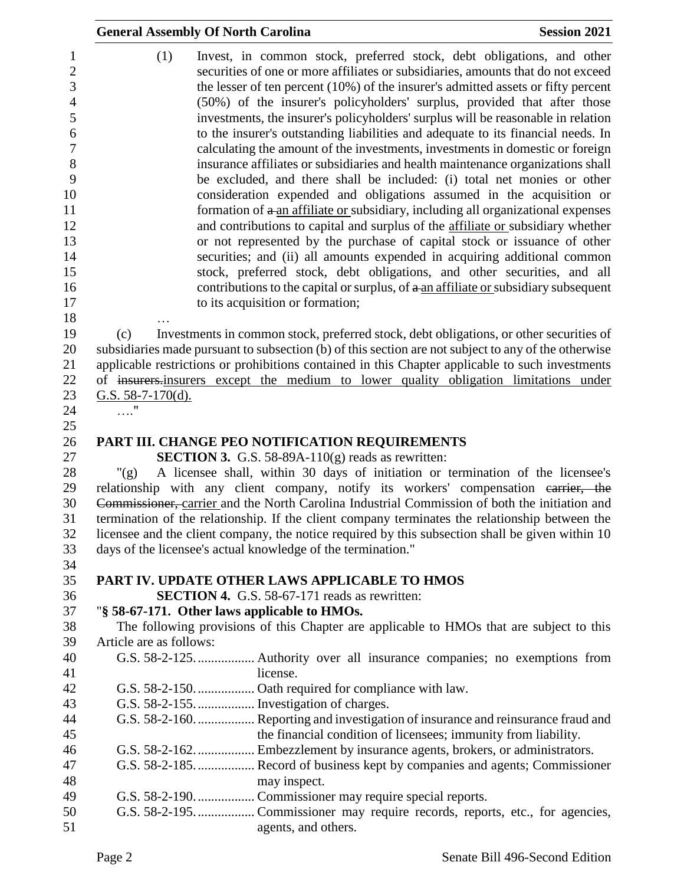|                                                                                                                                               | <b>General Assembly Of North Carolina</b>    |                                                                             | <b>Session 2021</b>                                                                                                                                                                                                                                                                                                                                                                                                                                                                                                                                                                                                                                                                                                                                                                                                                                                                                                                                                                                                                                                                                                                                                                                                                                                                                                           |
|-----------------------------------------------------------------------------------------------------------------------------------------------|----------------------------------------------|-----------------------------------------------------------------------------|-------------------------------------------------------------------------------------------------------------------------------------------------------------------------------------------------------------------------------------------------------------------------------------------------------------------------------------------------------------------------------------------------------------------------------------------------------------------------------------------------------------------------------------------------------------------------------------------------------------------------------------------------------------------------------------------------------------------------------------------------------------------------------------------------------------------------------------------------------------------------------------------------------------------------------------------------------------------------------------------------------------------------------------------------------------------------------------------------------------------------------------------------------------------------------------------------------------------------------------------------------------------------------------------------------------------------------|
| $\mathbf{1}$<br>$\overline{2}$<br>3<br>$\overline{4}$<br>5<br>6<br>$\boldsymbol{7}$<br>8<br>9<br>10<br>11<br>12<br>13<br>14<br>15<br>16<br>17 | (1)                                          | to its acquisition or formation;                                            | Invest, in common stock, preferred stock, debt obligations, and other<br>securities of one or more affiliates or subsidiaries, amounts that do not exceed<br>the lesser of ten percent $(10\%)$ of the insurer's admitted assets or fifty percent<br>(50%) of the insurer's policyholders' surplus, provided that after those<br>investments, the insurer's policyholders' surplus will be reasonable in relation<br>to the insurer's outstanding liabilities and adequate to its financial needs. In<br>calculating the amount of the investments, investments in domestic or foreign<br>insurance affiliates or subsidiaries and health maintenance organizations shall<br>be excluded, and there shall be included: (i) total net monies or other<br>consideration expended and obligations assumed in the acquisition or<br>formation of a an affiliate or subsidiary, including all organizational expenses<br>and contributions to capital and surplus of the affiliate or subsidiary whether<br>or not represented by the purchase of capital stock or issuance of other<br>securities; and (ii) all amounts expended in acquiring additional common<br>stock, preferred stock, debt obligations, and other securities, and all<br>contributions to the capital or surplus, of a an affiliate or subsidiary subsequent |
| 18                                                                                                                                            |                                              |                                                                             |                                                                                                                                                                                                                                                                                                                                                                                                                                                                                                                                                                                                                                                                                                                                                                                                                                                                                                                                                                                                                                                                                                                                                                                                                                                                                                                               |
| 19<br>20<br>21<br>22<br>23<br>24                                                                                                              | (c)<br>G.S. $58-7-170(d)$ .<br>$\ldots$ "    |                                                                             | Investments in common stock, preferred stock, debt obligations, or other securities of<br>subsidiaries made pursuant to subsection (b) of this section are not subject to any of the otherwise<br>applicable restrictions or prohibitions contained in this Chapter applicable to such investments<br>of insurers-insurers except the medium to lower quality obligation limitations under                                                                                                                                                                                                                                                                                                                                                                                                                                                                                                                                                                                                                                                                                                                                                                                                                                                                                                                                    |
| 25                                                                                                                                            |                                              |                                                                             |                                                                                                                                                                                                                                                                                                                                                                                                                                                                                                                                                                                                                                                                                                                                                                                                                                                                                                                                                                                                                                                                                                                                                                                                                                                                                                                               |
| 26                                                                                                                                            |                                              | PART III. CHANGE PEO NOTIFICATION REQUIREMENTS                              |                                                                                                                                                                                                                                                                                                                                                                                                                                                                                                                                                                                                                                                                                                                                                                                                                                                                                                                                                                                                                                                                                                                                                                                                                                                                                                                               |
| 27                                                                                                                                            |                                              | <b>SECTION 3.</b> G.S. 58-89A-110 $(g)$ reads as rewritten:                 |                                                                                                                                                                                                                                                                                                                                                                                                                                                                                                                                                                                                                                                                                                                                                                                                                                                                                                                                                                                                                                                                                                                                                                                                                                                                                                                               |
| 28<br>29                                                                                                                                      | " $(g)$                                      |                                                                             | A licensee shall, within 30 days of initiation or termination of the licensee's<br>relationship with any client company, notify its workers' compensation earrier, the                                                                                                                                                                                                                                                                                                                                                                                                                                                                                                                                                                                                                                                                                                                                                                                                                                                                                                                                                                                                                                                                                                                                                        |
| 30                                                                                                                                            |                                              |                                                                             | Commissioner, carrier and the North Carolina Industrial Commission of both the initiation and                                                                                                                                                                                                                                                                                                                                                                                                                                                                                                                                                                                                                                                                                                                                                                                                                                                                                                                                                                                                                                                                                                                                                                                                                                 |
| 31<br>32<br>33                                                                                                                                |                                              | days of the licensee's actual knowledge of the termination."                | termination of the relationship. If the client company terminates the relationship between the<br>licensee and the client company, the notice required by this subsection shall be given within 10                                                                                                                                                                                                                                                                                                                                                                                                                                                                                                                                                                                                                                                                                                                                                                                                                                                                                                                                                                                                                                                                                                                            |
| 34                                                                                                                                            |                                              |                                                                             |                                                                                                                                                                                                                                                                                                                                                                                                                                                                                                                                                                                                                                                                                                                                                                                                                                                                                                                                                                                                                                                                                                                                                                                                                                                                                                                               |
| 35                                                                                                                                            |                                              | PART IV. UPDATE OTHER LAWS APPLICABLE TO HMOS                               |                                                                                                                                                                                                                                                                                                                                                                                                                                                                                                                                                                                                                                                                                                                                                                                                                                                                                                                                                                                                                                                                                                                                                                                                                                                                                                                               |
| 36<br>37                                                                                                                                      | "§ 58-67-171. Other laws applicable to HMOs. | <b>SECTION 4.</b> G.S. 58-67-171 reads as rewritten:                        |                                                                                                                                                                                                                                                                                                                                                                                                                                                                                                                                                                                                                                                                                                                                                                                                                                                                                                                                                                                                                                                                                                                                                                                                                                                                                                                               |
| 38                                                                                                                                            |                                              |                                                                             | The following provisions of this Chapter are applicable to HMOs that are subject to this                                                                                                                                                                                                                                                                                                                                                                                                                                                                                                                                                                                                                                                                                                                                                                                                                                                                                                                                                                                                                                                                                                                                                                                                                                      |
| 39                                                                                                                                            | Article are as follows:                      |                                                                             |                                                                                                                                                                                                                                                                                                                                                                                                                                                                                                                                                                                                                                                                                                                                                                                                                                                                                                                                                                                                                                                                                                                                                                                                                                                                                                                               |
| 40                                                                                                                                            |                                              |                                                                             |                                                                                                                                                                                                                                                                                                                                                                                                                                                                                                                                                                                                                                                                                                                                                                                                                                                                                                                                                                                                                                                                                                                                                                                                                                                                                                                               |
| 41                                                                                                                                            |                                              | license.                                                                    |                                                                                                                                                                                                                                                                                                                                                                                                                                                                                                                                                                                                                                                                                                                                                                                                                                                                                                                                                                                                                                                                                                                                                                                                                                                                                                                               |
| 42                                                                                                                                            |                                              |                                                                             |                                                                                                                                                                                                                                                                                                                                                                                                                                                                                                                                                                                                                                                                                                                                                                                                                                                                                                                                                                                                                                                                                                                                                                                                                                                                                                                               |
| 43                                                                                                                                            |                                              | G.S. 58-2-155.  Investigation of charges.                                   |                                                                                                                                                                                                                                                                                                                                                                                                                                                                                                                                                                                                                                                                                                                                                                                                                                                                                                                                                                                                                                                                                                                                                                                                                                                                                                                               |
| 44                                                                                                                                            |                                              |                                                                             | G.S. 58-2-160 Reporting and investigation of insurance and reinsurance fraud and                                                                                                                                                                                                                                                                                                                                                                                                                                                                                                                                                                                                                                                                                                                                                                                                                                                                                                                                                                                                                                                                                                                                                                                                                                              |
| 45                                                                                                                                            |                                              | the financial condition of licensees; immunity from liability.              |                                                                                                                                                                                                                                                                                                                                                                                                                                                                                                                                                                                                                                                                                                                                                                                                                                                                                                                                                                                                                                                                                                                                                                                                                                                                                                                               |
| 46                                                                                                                                            |                                              | G.S. 58-2-162 Embezzlement by insurance agents, brokers, or administrators. |                                                                                                                                                                                                                                                                                                                                                                                                                                                                                                                                                                                                                                                                                                                                                                                                                                                                                                                                                                                                                                                                                                                                                                                                                                                                                                                               |
| 47                                                                                                                                            |                                              |                                                                             | G.S. 58-2-185 Record of business kept by companies and agents; Commissioner                                                                                                                                                                                                                                                                                                                                                                                                                                                                                                                                                                                                                                                                                                                                                                                                                                                                                                                                                                                                                                                                                                                                                                                                                                                   |
| 48<br>49                                                                                                                                      |                                              | may inspect.<br>G.S. 58-2-190.  Commissioner may require special reports.   |                                                                                                                                                                                                                                                                                                                                                                                                                                                                                                                                                                                                                                                                                                                                                                                                                                                                                                                                                                                                                                                                                                                                                                                                                                                                                                                               |
| 50                                                                                                                                            |                                              |                                                                             |                                                                                                                                                                                                                                                                                                                                                                                                                                                                                                                                                                                                                                                                                                                                                                                                                                                                                                                                                                                                                                                                                                                                                                                                                                                                                                                               |
| 51                                                                                                                                            |                                              | agents, and others.                                                         |                                                                                                                                                                                                                                                                                                                                                                                                                                                                                                                                                                                                                                                                                                                                                                                                                                                                                                                                                                                                                                                                                                                                                                                                                                                                                                                               |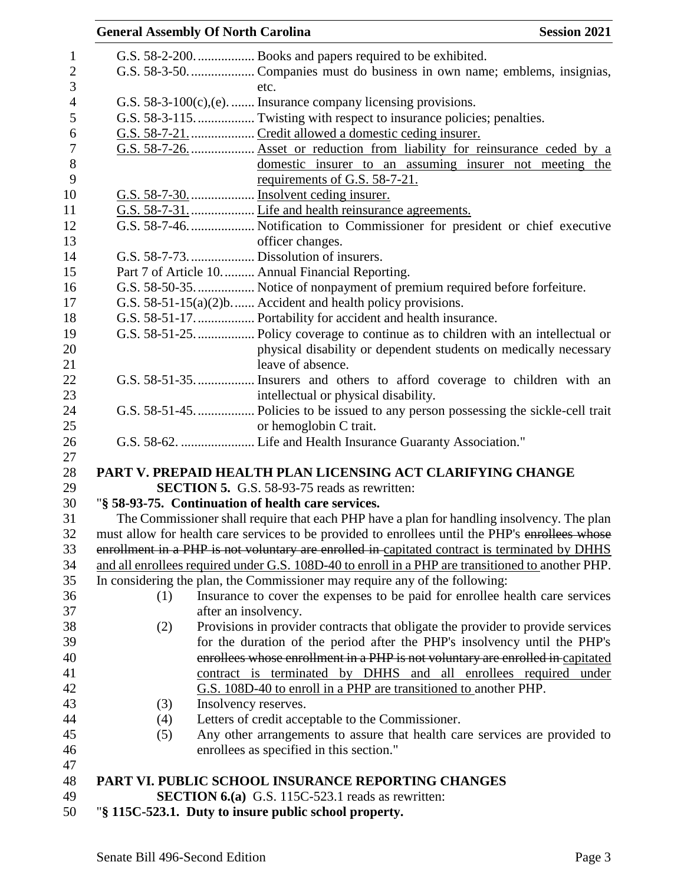|                | <b>General Assembly Of North Carolina</b> |                                                               |                                                                                                                                                                                               | <b>Session 2021</b> |
|----------------|-------------------------------------------|---------------------------------------------------------------|-----------------------------------------------------------------------------------------------------------------------------------------------------------------------------------------------|---------------------|
| $\mathbf{1}$   |                                           |                                                               |                                                                                                                                                                                               |                     |
| $\mathbf{2}$   |                                           |                                                               |                                                                                                                                                                                               |                     |
| 3              |                                           | etc.                                                          |                                                                                                                                                                                               |                     |
| $\overline{4}$ |                                           |                                                               | G.S. $58-3-100(c)$ , (e).  Insurance company licensing provisions.                                                                                                                            |                     |
| $\mathfrak s$  |                                           |                                                               |                                                                                                                                                                                               |                     |
| 6              |                                           |                                                               |                                                                                                                                                                                               |                     |
| $\overline{7}$ |                                           |                                                               | G.S. 58-7-26.     Asset or reduction from liability for reinsurance ceded by a                                                                                                                |                     |
| 8<br>9         |                                           | requirements of G.S. 58-7-21.                                 | domestic insurer to an assuming insurer not meeting the                                                                                                                                       |                     |
| 10             |                                           |                                                               |                                                                                                                                                                                               |                     |
| 11             |                                           |                                                               |                                                                                                                                                                                               |                     |
| 12             |                                           |                                                               |                                                                                                                                                                                               |                     |
| 13             |                                           | officer changes.                                              |                                                                                                                                                                                               |                     |
| 14             |                                           | G.S. 58-7-73.  Dissolution of insurers.                       |                                                                                                                                                                                               |                     |
| 15             |                                           | Part 7 of Article 10 Annual Financial Reporting.              |                                                                                                                                                                                               |                     |
| 16             |                                           |                                                               | G.S. 58-50-35.  Notice of nonpayment of premium required before forfeiture.                                                                                                                   |                     |
| 17             |                                           | G.S. $58-51-15(a)(2)b$ Accident and health policy provisions. |                                                                                                                                                                                               |                     |
| 18             |                                           |                                                               | G.S. 58-51-17.  Portability for accident and health insurance.                                                                                                                                |                     |
| 19             |                                           |                                                               |                                                                                                                                                                                               |                     |
| 20             |                                           |                                                               | physical disability or dependent students on medically necessary                                                                                                                              |                     |
| 21             |                                           | leave of absence.                                             |                                                                                                                                                                                               |                     |
| 22             |                                           |                                                               | G.S. 58-51-35 Insurers and others to afford coverage to children with an                                                                                                                      |                     |
| 23             |                                           |                                                               | intellectual or physical disability.                                                                                                                                                          |                     |
| 24             |                                           |                                                               |                                                                                                                                                                                               |                     |
| 25             |                                           | or hemoglobin C trait.                                        |                                                                                                                                                                                               |                     |
| 26             |                                           |                                                               | G.S. 58-62.  Life and Health Insurance Guaranty Association."                                                                                                                                 |                     |
| 27             |                                           |                                                               |                                                                                                                                                                                               |                     |
| 28             |                                           |                                                               | PART V. PREPAID HEALTH PLAN LICENSING ACT CLARIFYING CHANGE                                                                                                                                   |                     |
| 29             |                                           | <b>SECTION 5.</b> G.S. 58-93-75 reads as rewritten:           |                                                                                                                                                                                               |                     |
| 30<br>31       |                                           | "§ 58-93-75. Continuation of health care services.            |                                                                                                                                                                                               |                     |
| 32             |                                           |                                                               | The Commissioner shall require that each PHP have a plan for handling insolvency. The plan<br>must allow for health care services to be provided to enrollees until the PHP's enrollees whose |                     |
| 33             |                                           |                                                               | enrollment in a PHP is not voluntary are enrolled in capitated contract is terminated by DHHS                                                                                                 |                     |
| 34             |                                           |                                                               | and all enrollees required under G.S. 108D-40 to enroll in a PHP are transitioned to another PHP.                                                                                             |                     |
| 35             |                                           |                                                               | In considering the plan, the Commissioner may require any of the following:                                                                                                                   |                     |
| 36             | (1)                                       |                                                               | Insurance to cover the expenses to be paid for enrollee health care services                                                                                                                  |                     |
| 37             |                                           | after an insolvency.                                          |                                                                                                                                                                                               |                     |
| 38             | (2)                                       |                                                               | Provisions in provider contracts that obligate the provider to provide services                                                                                                               |                     |
| 39             |                                           |                                                               | for the duration of the period after the PHP's insolvency until the PHP's                                                                                                                     |                     |
| 40             |                                           |                                                               | enrollees whose enrollment in a PHP is not voluntary are enrolled in capitated                                                                                                                |                     |
| 41             |                                           |                                                               | contract is terminated by DHHS and all enrollees required under                                                                                                                               |                     |
| 42             |                                           |                                                               | G.S. 108D-40 to enroll in a PHP are transitioned to another PHP.                                                                                                                              |                     |
| 43             | (3)                                       | Insolvency reserves.                                          |                                                                                                                                                                                               |                     |
| 44             | (4)                                       | Letters of credit acceptable to the Commissioner.             |                                                                                                                                                                                               |                     |
| 45             | (5)                                       |                                                               | Any other arrangements to assure that health care services are provided to                                                                                                                    |                     |
| 46             |                                           | enrollees as specified in this section."                      |                                                                                                                                                                                               |                     |
| 47             |                                           |                                                               |                                                                                                                                                                                               |                     |
| 48             |                                           |                                                               | PART VI. PUBLIC SCHOOL INSURANCE REPORTING CHANGES                                                                                                                                            |                     |
| 49             |                                           | <b>SECTION 6.(a)</b> G.S. 115C-523.1 reads as rewritten:      |                                                                                                                                                                                               |                     |
| 50             |                                           | "§ 115C-523.1. Duty to insure public school property.         |                                                                                                                                                                                               |                     |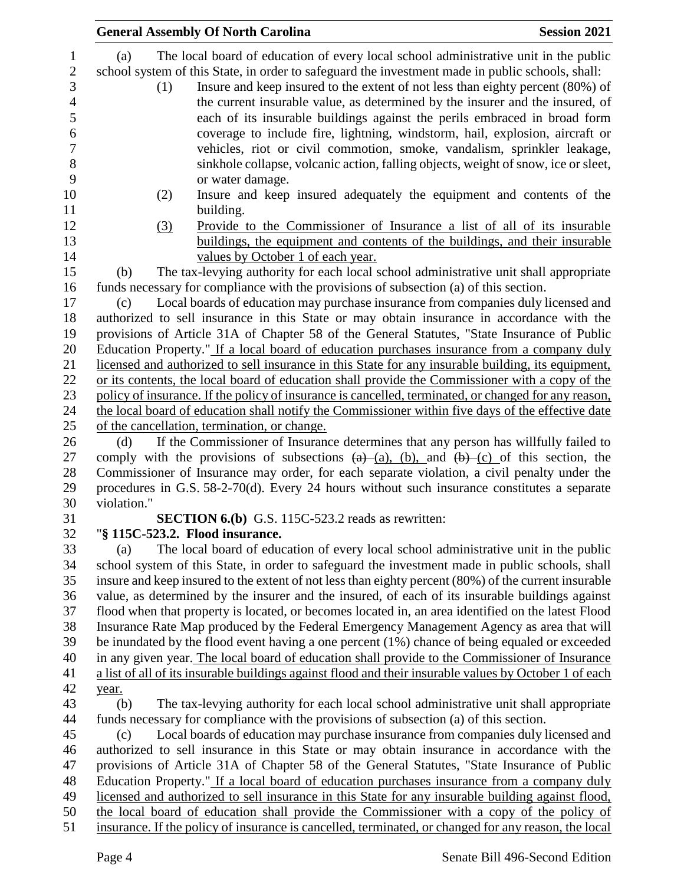|                                                                                                  | <b>General Assembly Of North Carolina</b>                                                                                                                                                                                                                                                                                                                                                                                                                                                                                                                                                                                                                                                                                   | <b>Session 2021</b> |
|--------------------------------------------------------------------------------------------------|-----------------------------------------------------------------------------------------------------------------------------------------------------------------------------------------------------------------------------------------------------------------------------------------------------------------------------------------------------------------------------------------------------------------------------------------------------------------------------------------------------------------------------------------------------------------------------------------------------------------------------------------------------------------------------------------------------------------------------|---------------------|
| $\mathbf{1}$<br>$\sqrt{2}$<br>3<br>$\overline{4}$<br>5<br>$\sqrt{6}$<br>$\overline{7}$<br>8<br>9 | The local board of education of every local school administrative unit in the public<br>(a)<br>school system of this State, in order to safeguard the investment made in public schools, shall:<br>Insure and keep insured to the extent of not less than eighty percent (80%) of<br>(1)<br>the current insurable value, as determined by the insurer and the insured, of<br>each of its insurable buildings against the perils embraced in broad form<br>coverage to include fire, lightning, windstorm, hail, explosion, aircraft or<br>vehicles, riot or civil commotion, smoke, vandalism, sprinkler leakage,<br>sinkhole collapse, volcanic action, falling objects, weight of snow, ice or sleet,<br>or water damage. |                     |
| 10                                                                                               | Insure and keep insured adequately the equipment and contents of the<br>(2)                                                                                                                                                                                                                                                                                                                                                                                                                                                                                                                                                                                                                                                 |                     |
| 11                                                                                               | building.                                                                                                                                                                                                                                                                                                                                                                                                                                                                                                                                                                                                                                                                                                                   |                     |
| 12<br>13                                                                                         | Provide to the Commissioner of Insurance a list of all of its insurable<br>(3)<br>buildings, the equipment and contents of the buildings, and their insurable                                                                                                                                                                                                                                                                                                                                                                                                                                                                                                                                                               |                     |
| 14                                                                                               | values by October 1 of each year.                                                                                                                                                                                                                                                                                                                                                                                                                                                                                                                                                                                                                                                                                           |                     |
| 15<br>16                                                                                         | The tax-levying authority for each local school administrative unit shall appropriate<br>(b)<br>funds necessary for compliance with the provisions of subsection (a) of this section.                                                                                                                                                                                                                                                                                                                                                                                                                                                                                                                                       |                     |
| 17<br>18<br>19<br>20<br>21                                                                       | Local boards of education may purchase insurance from companies duly licensed and<br>(c)<br>authorized to sell insurance in this State or may obtain insurance in accordance with the<br>provisions of Article 31A of Chapter 58 of the General Statutes, "State Insurance of Public<br>Education Property." If a local board of education purchases insurance from a company duly<br>licensed and authorized to sell insurance in this State for any insurable building, its equipment,                                                                                                                                                                                                                                    |                     |
| 22                                                                                               | or its contents, the local board of education shall provide the Commissioner with a copy of the                                                                                                                                                                                                                                                                                                                                                                                                                                                                                                                                                                                                                             |                     |
| 23                                                                                               | policy of insurance. If the policy of insurance is cancelled, terminated, or changed for any reason,                                                                                                                                                                                                                                                                                                                                                                                                                                                                                                                                                                                                                        |                     |
| 24                                                                                               | the local board of education shall notify the Commissioner within five days of the effective date                                                                                                                                                                                                                                                                                                                                                                                                                                                                                                                                                                                                                           |                     |
| 25                                                                                               | of the cancellation, termination, or change.                                                                                                                                                                                                                                                                                                                                                                                                                                                                                                                                                                                                                                                                                |                     |
| 26<br>27<br>28<br>29                                                                             | If the Commissioner of Insurance determines that any person has willfully failed to<br>(d)<br>comply with the provisions of subsections $(a)$ $(a)$ , $(b)$ , and $(b)$ $(c)$ of this section, the<br>Commissioner of Insurance may order, for each separate violation, a civil penalty under the<br>procedures in G.S. 58-2-70(d). Every 24 hours without such insurance constitutes a separate                                                                                                                                                                                                                                                                                                                            |                     |
| 30                                                                                               | violation."                                                                                                                                                                                                                                                                                                                                                                                                                                                                                                                                                                                                                                                                                                                 |                     |
| 31                                                                                               | <b>SECTION 6.(b)</b> G.S. 115C-523.2 reads as rewritten:                                                                                                                                                                                                                                                                                                                                                                                                                                                                                                                                                                                                                                                                    |                     |
| 32                                                                                               | "§ 115C-523.2. Flood insurance.                                                                                                                                                                                                                                                                                                                                                                                                                                                                                                                                                                                                                                                                                             |                     |
| 33                                                                                               | The local board of education of every local school administrative unit in the public<br>(a)                                                                                                                                                                                                                                                                                                                                                                                                                                                                                                                                                                                                                                 |                     |
| 34                                                                                               | school system of this State, in order to safeguard the investment made in public schools, shall                                                                                                                                                                                                                                                                                                                                                                                                                                                                                                                                                                                                                             |                     |
| 35<br>36                                                                                         | insure and keep insured to the extent of not less than eighty percent (80%) of the current insurable<br>value, as determined by the insurer and the insured, of each of its insurable buildings against                                                                                                                                                                                                                                                                                                                                                                                                                                                                                                                     |                     |
| 37                                                                                               | flood when that property is located, or becomes located in, an area identified on the latest Flood                                                                                                                                                                                                                                                                                                                                                                                                                                                                                                                                                                                                                          |                     |
| 38                                                                                               | Insurance Rate Map produced by the Federal Emergency Management Agency as area that will                                                                                                                                                                                                                                                                                                                                                                                                                                                                                                                                                                                                                                    |                     |
| 39                                                                                               | be inundated by the flood event having a one percent (1%) chance of being equaled or exceeded                                                                                                                                                                                                                                                                                                                                                                                                                                                                                                                                                                                                                               |                     |
| 40                                                                                               | in any given year. The local board of education shall provide to the Commissioner of Insurance                                                                                                                                                                                                                                                                                                                                                                                                                                                                                                                                                                                                                              |                     |
| 41                                                                                               | a list of all of its insurable buildings against flood and their insurable values by October 1 of each                                                                                                                                                                                                                                                                                                                                                                                                                                                                                                                                                                                                                      |                     |
| 42                                                                                               | year.                                                                                                                                                                                                                                                                                                                                                                                                                                                                                                                                                                                                                                                                                                                       |                     |
| 43                                                                                               | The tax-levying authority for each local school administrative unit shall appropriate<br>(b)                                                                                                                                                                                                                                                                                                                                                                                                                                                                                                                                                                                                                                |                     |
| 44                                                                                               | funds necessary for compliance with the provisions of subsection (a) of this section.                                                                                                                                                                                                                                                                                                                                                                                                                                                                                                                                                                                                                                       |                     |
| 45                                                                                               | Local boards of education may purchase insurance from companies duly licensed and<br>(c)                                                                                                                                                                                                                                                                                                                                                                                                                                                                                                                                                                                                                                    |                     |
| 46                                                                                               | authorized to sell insurance in this State or may obtain insurance in accordance with the                                                                                                                                                                                                                                                                                                                                                                                                                                                                                                                                                                                                                                   |                     |
| 47                                                                                               | provisions of Article 31A of Chapter 58 of the General Statutes, "State Insurance of Public                                                                                                                                                                                                                                                                                                                                                                                                                                                                                                                                                                                                                                 |                     |
| 48                                                                                               | Education Property." If a local board of education purchases insurance from a company duly                                                                                                                                                                                                                                                                                                                                                                                                                                                                                                                                                                                                                                  |                     |
| 49<br>50                                                                                         | licensed and authorized to sell insurance in this State for any insurable building against flood,<br>the local board of education shall provide the Commissioner with a copy of the policy of                                                                                                                                                                                                                                                                                                                                                                                                                                                                                                                               |                     |
| 51                                                                                               | insurance. If the policy of insurance is cancelled, terminated, or changed for any reason, the local                                                                                                                                                                                                                                                                                                                                                                                                                                                                                                                                                                                                                        |                     |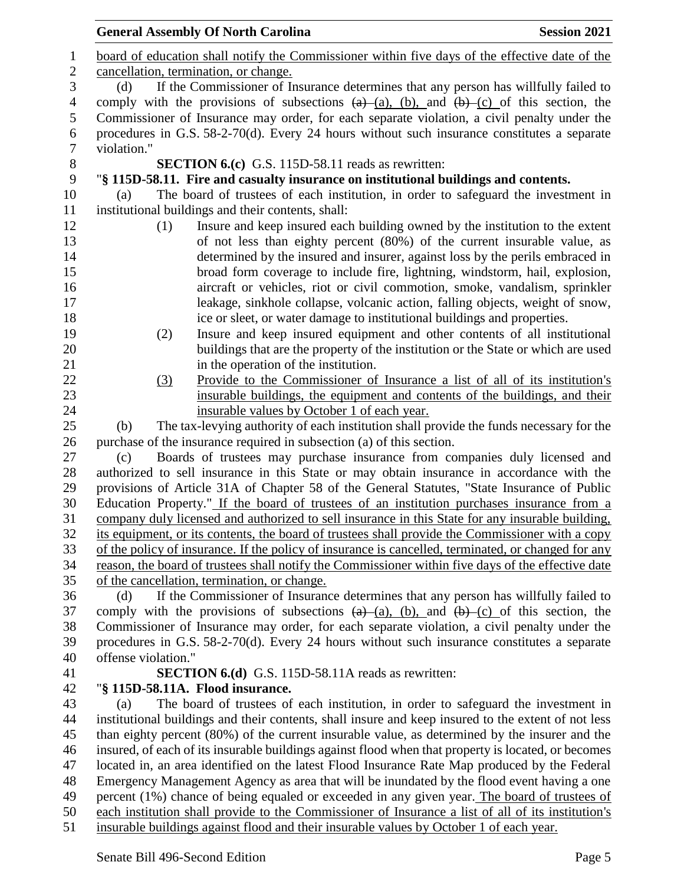|                | <b>Session 2021</b><br><b>General Assembly Of North Carolina</b>                                                                                                                            |  |  |  |  |  |  |
|----------------|---------------------------------------------------------------------------------------------------------------------------------------------------------------------------------------------|--|--|--|--|--|--|
| $\mathbf{1}$   | board of education shall notify the Commissioner within five days of the effective date of the                                                                                              |  |  |  |  |  |  |
| $\sqrt{2}$     | cancellation, termination, or change.                                                                                                                                                       |  |  |  |  |  |  |
| 3              | If the Commissioner of Insurance determines that any person has willfully failed to<br>(d)                                                                                                  |  |  |  |  |  |  |
| $\overline{4}$ | comply with the provisions of subsections $(a)$ (a), (b), and $(b)$ (c) of this section, the                                                                                                |  |  |  |  |  |  |
| 5              | Commissioner of Insurance may order, for each separate violation, a civil penalty under the                                                                                                 |  |  |  |  |  |  |
| $\sqrt{6}$     | procedures in G.S. 58-2-70(d). Every 24 hours without such insurance constitutes a separate                                                                                                 |  |  |  |  |  |  |
| $\overline{7}$ | violation."                                                                                                                                                                                 |  |  |  |  |  |  |
| $\,8\,$        | <b>SECTION 6.(c)</b> G.S. 115D-58.11 reads as rewritten:                                                                                                                                    |  |  |  |  |  |  |
| $\mathbf{9}$   | "§ 115D-58.11. Fire and casualty insurance on institutional buildings and contents.                                                                                                         |  |  |  |  |  |  |
| 10             | The board of trustees of each institution, in order to safeguard the investment in<br>(a)                                                                                                   |  |  |  |  |  |  |
| 11             | institutional buildings and their contents, shall:                                                                                                                                          |  |  |  |  |  |  |
| 12             | Insure and keep insured each building owned by the institution to the extent<br>(1)                                                                                                         |  |  |  |  |  |  |
| 13             | of not less than eighty percent (80%) of the current insurable value, as                                                                                                                    |  |  |  |  |  |  |
| 14             | determined by the insured and insurer, against loss by the perils embraced in                                                                                                               |  |  |  |  |  |  |
| 15             | broad form coverage to include fire, lightning, windstorm, hail, explosion,                                                                                                                 |  |  |  |  |  |  |
| 16             | aircraft or vehicles, riot or civil commotion, smoke, vandalism, sprinkler                                                                                                                  |  |  |  |  |  |  |
| 17             | leakage, sinkhole collapse, volcanic action, falling objects, weight of snow,                                                                                                               |  |  |  |  |  |  |
| 18             | ice or sleet, or water damage to institutional buildings and properties.                                                                                                                    |  |  |  |  |  |  |
| 19             | Insure and keep insured equipment and other contents of all institutional<br>(2)                                                                                                            |  |  |  |  |  |  |
| 20             | buildings that are the property of the institution or the State or which are used                                                                                                           |  |  |  |  |  |  |
| 21             | in the operation of the institution.                                                                                                                                                        |  |  |  |  |  |  |
| 22             | Provide to the Commissioner of Insurance a list of all of its institution's<br>(3)                                                                                                          |  |  |  |  |  |  |
| 23             | insurable buildings, the equipment and contents of the buildings, and their                                                                                                                 |  |  |  |  |  |  |
| 24             | insurable values by October 1 of each year.                                                                                                                                                 |  |  |  |  |  |  |
| 25             | The tax-levying authority of each institution shall provide the funds necessary for the<br>(b)                                                                                              |  |  |  |  |  |  |
| 26             | purchase of the insurance required in subsection (a) of this section.                                                                                                                       |  |  |  |  |  |  |
| 27             | Boards of trustees may purchase insurance from companies duly licensed and<br>(c)                                                                                                           |  |  |  |  |  |  |
| 28             | authorized to sell insurance in this State or may obtain insurance in accordance with the                                                                                                   |  |  |  |  |  |  |
| 29             | provisions of Article 31A of Chapter 58 of the General Statutes, "State Insurance of Public                                                                                                 |  |  |  |  |  |  |
| 30             | Education Property." If the board of trustees of an institution purchases insurance from a                                                                                                  |  |  |  |  |  |  |
| 31             | company duly licensed and authorized to sell insurance in this State for any insurable building.                                                                                            |  |  |  |  |  |  |
| 32             | its equipment, or its contents, the board of trustees shall provide the Commissioner with a copy                                                                                            |  |  |  |  |  |  |
| 33             | of the policy of insurance. If the policy of insurance is cancelled, terminated, or changed for any                                                                                         |  |  |  |  |  |  |
| 34             | reason, the board of trustees shall notify the Commissioner within five days of the effective date                                                                                          |  |  |  |  |  |  |
| 35             | of the cancellation, termination, or change.                                                                                                                                                |  |  |  |  |  |  |
| 36             | If the Commissioner of Insurance determines that any person has willfully failed to<br>(d)                                                                                                  |  |  |  |  |  |  |
| 37             | comply with the provisions of subsections $(a)$ $(a)$ , $(b)$ , and $(b)$ $(c)$ of this section, the                                                                                        |  |  |  |  |  |  |
| 38             | Commissioner of Insurance may order, for each separate violation, a civil penalty under the                                                                                                 |  |  |  |  |  |  |
| 39             | procedures in G.S. 58-2-70(d). Every 24 hours without such insurance constitutes a separate                                                                                                 |  |  |  |  |  |  |
| 40             | offense violation."                                                                                                                                                                         |  |  |  |  |  |  |
| 41             | <b>SECTION 6.(d)</b> G.S. 115D-58.11A reads as rewritten:                                                                                                                                   |  |  |  |  |  |  |
| 42             | "§ 115D-58.11A. Flood insurance.                                                                                                                                                            |  |  |  |  |  |  |
| 43             | The board of trustees of each institution, in order to safeguard the investment in<br>(a)                                                                                                   |  |  |  |  |  |  |
| 44             | institutional buildings and their contents, shall insure and keep insured to the extent of not less                                                                                         |  |  |  |  |  |  |
| 45             | than eighty percent (80%) of the current insurable value, as determined by the insurer and the                                                                                              |  |  |  |  |  |  |
| 46<br>47       | insured, of each of its insurable buildings against flood when that property is located, or becomes                                                                                         |  |  |  |  |  |  |
| 48             | located in, an area identified on the latest Flood Insurance Rate Map produced by the Federal<br>Emergency Management Agency as area that will be inundated by the flood event having a one |  |  |  |  |  |  |
| 49             | percent (1%) chance of being equaled or exceeded in any given year. The board of trustees of                                                                                                |  |  |  |  |  |  |
| 50             | each institution shall provide to the Commissioner of Insurance a list of all of its institution's                                                                                          |  |  |  |  |  |  |
| 51             | insurable buildings against flood and their insurable values by October 1 of each year.                                                                                                     |  |  |  |  |  |  |
|                |                                                                                                                                                                                             |  |  |  |  |  |  |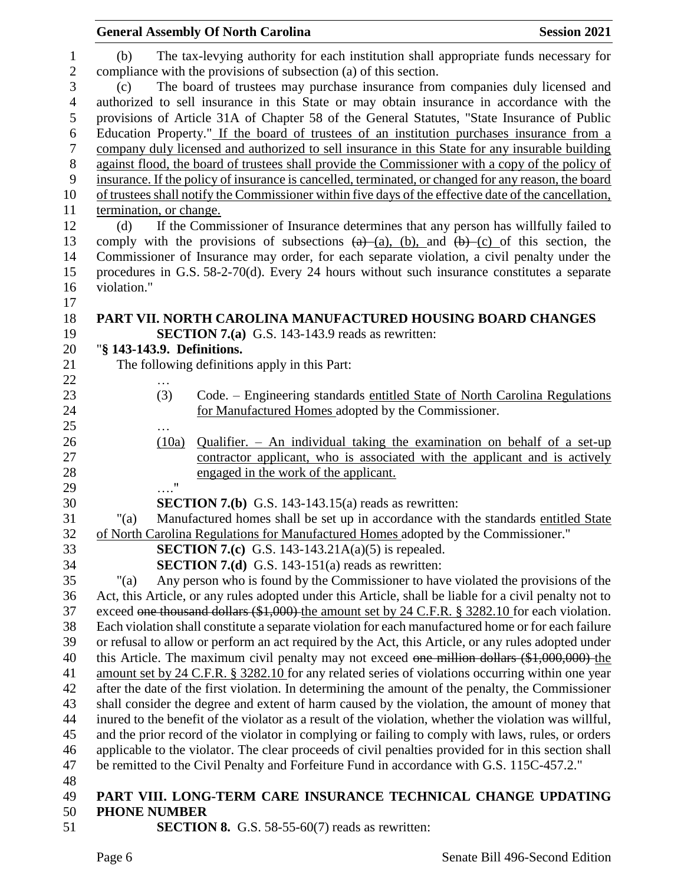|                      | <b>General Assembly Of North Carolina</b>                                                                                                                                                                                                                          | <b>Session 2021</b> |  |  |  |  |  |
|----------------------|--------------------------------------------------------------------------------------------------------------------------------------------------------------------------------------------------------------------------------------------------------------------|---------------------|--|--|--|--|--|
| 1                    | The tax-levying authority for each institution shall appropriate funds necessary for<br>(b)                                                                                                                                                                        |                     |  |  |  |  |  |
| $\mathbf{2}$         | compliance with the provisions of subsection (a) of this section.                                                                                                                                                                                                  |                     |  |  |  |  |  |
| 3                    | The board of trustees may purchase insurance from companies duly licensed and<br>(c)                                                                                                                                                                               |                     |  |  |  |  |  |
| $\overline{4}$       | authorized to sell insurance in this State or may obtain insurance in accordance with the                                                                                                                                                                          |                     |  |  |  |  |  |
| 5                    | provisions of Article 31A of Chapter 58 of the General Statutes, "State Insurance of Public                                                                                                                                                                        |                     |  |  |  |  |  |
| 6                    | Education Property." If the board of trustees of an institution purchases insurance from a                                                                                                                                                                         |                     |  |  |  |  |  |
| $\tau$               | company duly licensed and authorized to sell insurance in this State for any insurable building                                                                                                                                                                    |                     |  |  |  |  |  |
| $8\,$                | against flood, the board of trustees shall provide the Commissioner with a copy of the policy of                                                                                                                                                                   |                     |  |  |  |  |  |
| 9                    | insurance. If the policy of insurance is cancelled, terminated, or changed for any reason, the board                                                                                                                                                               |                     |  |  |  |  |  |
| 10                   | of trustees shall notify the Commissioner within five days of the effective date of the cancellation,                                                                                                                                                              |                     |  |  |  |  |  |
| 11                   | termination, or change.                                                                                                                                                                                                                                            |                     |  |  |  |  |  |
| 12                   | If the Commissioner of Insurance determines that any person has willfully failed to<br>(d)                                                                                                                                                                         |                     |  |  |  |  |  |
| 13                   | comply with the provisions of subsections $(a)$ $(a)$ , $(b)$ , and $(b)$ $(c)$ of this section, the                                                                                                                                                               |                     |  |  |  |  |  |
| 14                   | Commissioner of Insurance may order, for each separate violation, a civil penalty under the                                                                                                                                                                        |                     |  |  |  |  |  |
| 15                   | procedures in G.S. 58-2-70(d). Every 24 hours without such insurance constitutes a separate                                                                                                                                                                        |                     |  |  |  |  |  |
| 16                   | violation."                                                                                                                                                                                                                                                        |                     |  |  |  |  |  |
| 17                   |                                                                                                                                                                                                                                                                    |                     |  |  |  |  |  |
| 18                   | PART VII. NORTH CAROLINA MANUFACTURED HOUSING BOARD CHANGES                                                                                                                                                                                                        |                     |  |  |  |  |  |
| 19                   | <b>SECTION 7.(a)</b> G.S. 143-143.9 reads as rewritten:                                                                                                                                                                                                            |                     |  |  |  |  |  |
| 20                   | "§ 143-143.9. Definitions.                                                                                                                                                                                                                                         |                     |  |  |  |  |  |
| 21                   | The following definitions apply in this Part:                                                                                                                                                                                                                      |                     |  |  |  |  |  |
| 22                   |                                                                                                                                                                                                                                                                    |                     |  |  |  |  |  |
| 23                   | (3)<br>Code. – Engineering standards entitled State of North Carolina Regulations                                                                                                                                                                                  |                     |  |  |  |  |  |
| 24                   | for Manufactured Homes adopted by the Commissioner.                                                                                                                                                                                                                |                     |  |  |  |  |  |
| $25\,$               | $\cdots$                                                                                                                                                                                                                                                           |                     |  |  |  |  |  |
| 26                   | Qualifier. $-$ An individual taking the examination on behalf of a set-up<br>(10a)                                                                                                                                                                                 |                     |  |  |  |  |  |
| 27                   | contractor applicant, who is associated with the applicant and is actively                                                                                                                                                                                         |                     |  |  |  |  |  |
| 28                   | engaged in the work of the applicant.                                                                                                                                                                                                                              |                     |  |  |  |  |  |
| 29                   | $\ldots$ "                                                                                                                                                                                                                                                         |                     |  |  |  |  |  |
| 30                   | <b>SECTION 7.(b)</b> G.S. 143-143.15(a) reads as rewritten:                                                                                                                                                                                                        |                     |  |  |  |  |  |
| 31                   | Manufactured homes shall be set up in accordance with the standards entitled State<br>" $(a)$                                                                                                                                                                      |                     |  |  |  |  |  |
| 32                   | of North Carolina Regulations for Manufactured Homes adopted by the Commissioner."                                                                                                                                                                                 |                     |  |  |  |  |  |
| 33                   | <b>SECTION 7.(c)</b> G.S. 143-143.21A(a)(5) is repealed.                                                                                                                                                                                                           |                     |  |  |  |  |  |
| 34                   | <b>SECTION 7.(d)</b> G.S. 143-151(a) reads as rewritten:                                                                                                                                                                                                           |                     |  |  |  |  |  |
| 35                   | Any person who is found by the Commissioner to have violated the provisions of the<br>"(a)                                                                                                                                                                         |                     |  |  |  |  |  |
| 36                   | Act, this Article, or any rules adopted under this Article, shall be liable for a civil penalty not to                                                                                                                                                             |                     |  |  |  |  |  |
| 37                   | exceed one thousand dollars (\$1,000) the amount set by 24 C.F.R. § 3282.10 for each violation.                                                                                                                                                                    |                     |  |  |  |  |  |
| 38                   | Each violation shall constitute a separate violation for each manufactured home or for each failure                                                                                                                                                                |                     |  |  |  |  |  |
| 39                   | or refusal to allow or perform an act required by the Act, this Article, or any rules adopted under                                                                                                                                                                |                     |  |  |  |  |  |
| 40                   | this Article. The maximum civil penalty may not exceed one million dollars $(\$1,000,000)$ the                                                                                                                                                                     |                     |  |  |  |  |  |
| 41                   | amount set by 24 C.F.R. § 3282.10 for any related series of violations occurring within one year                                                                                                                                                                   |                     |  |  |  |  |  |
| 42                   | after the date of the first violation. In determining the amount of the penalty, the Commissioner                                                                                                                                                                  |                     |  |  |  |  |  |
| 43                   | shall consider the degree and extent of harm caused by the violation, the amount of money that                                                                                                                                                                     |                     |  |  |  |  |  |
| 44                   | inured to the benefit of the violator as a result of the violation, whether the violation was willful,                                                                                                                                                             |                     |  |  |  |  |  |
| 45                   | and the prior record of the violator in complying or failing to comply with laws, rules, or orders                                                                                                                                                                 |                     |  |  |  |  |  |
|                      |                                                                                                                                                                                                                                                                    |                     |  |  |  |  |  |
|                      |                                                                                                                                                                                                                                                                    |                     |  |  |  |  |  |
|                      |                                                                                                                                                                                                                                                                    |                     |  |  |  |  |  |
| 50                   | <b>PHONE NUMBER</b>                                                                                                                                                                                                                                                |                     |  |  |  |  |  |
| 46<br>47<br>48<br>49 | applicable to the violator. The clear proceeds of civil penalties provided for in this section shall<br>be remitted to the Civil Penalty and Forfeiture Fund in accordance with G.S. 115C-457.2."<br>PART VIII. LONG-TERM CARE INSURANCE TECHNICAL CHANGE UPDATING |                     |  |  |  |  |  |

50 **PHONE NUM**<br>51 **SEC SECTION 8.** G.S. 58-55-60(7) reads as rewritten: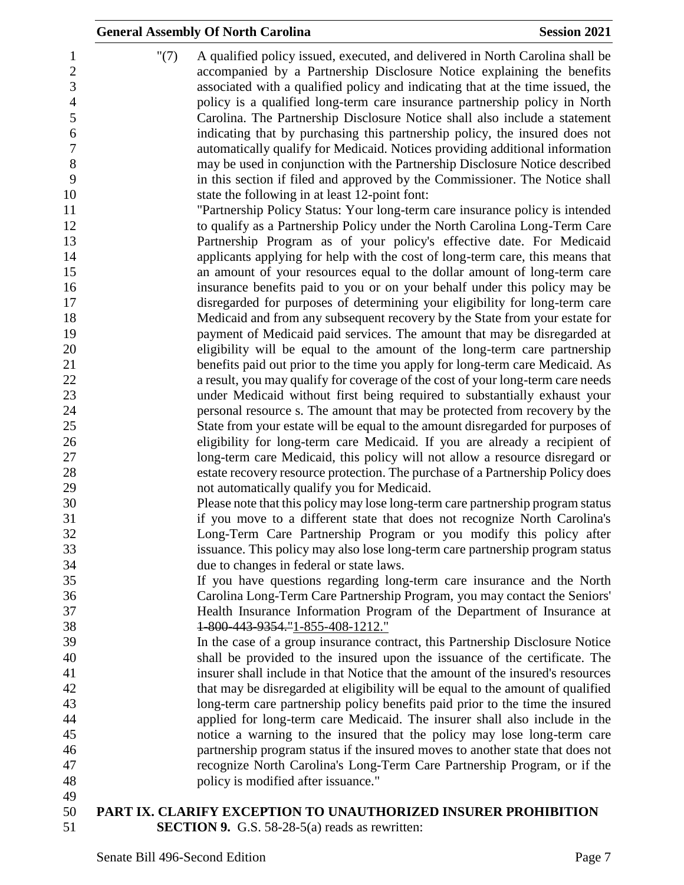|                                                                      | <b>General Assembly Of North Carolina</b><br><b>Session 2021</b>                                                                                                                                                                                                                                                                                                                                                                                                                     |
|----------------------------------------------------------------------|--------------------------------------------------------------------------------------------------------------------------------------------------------------------------------------------------------------------------------------------------------------------------------------------------------------------------------------------------------------------------------------------------------------------------------------------------------------------------------------|
| "(7)<br>1<br>$\sqrt{2}$<br>3<br>$\overline{4}$<br>$\mathfrak s$<br>6 | A qualified policy issued, executed, and delivered in North Carolina shall be<br>accompanied by a Partnership Disclosure Notice explaining the benefits<br>associated with a qualified policy and indicating that at the time issued, the<br>policy is a qualified long-term care insurance partnership policy in North<br>Carolina. The Partnership Disclosure Notice shall also include a statement<br>indicating that by purchasing this partnership policy, the insured does not |
| $\boldsymbol{7}$<br>$8\,$                                            | automatically qualify for Medicaid. Notices providing additional information<br>may be used in conjunction with the Partnership Disclosure Notice described                                                                                                                                                                                                                                                                                                                          |
| 9                                                                    | in this section if filed and approved by the Commissioner. The Notice shall                                                                                                                                                                                                                                                                                                                                                                                                          |
| 10<br>11                                                             | state the following in at least 12-point font:<br>"Partnership Policy Status: Your long-term care insurance policy is intended                                                                                                                                                                                                                                                                                                                                                       |
| 12                                                                   | to qualify as a Partnership Policy under the North Carolina Long-Term Care                                                                                                                                                                                                                                                                                                                                                                                                           |
| 13                                                                   | Partnership Program as of your policy's effective date. For Medicaid                                                                                                                                                                                                                                                                                                                                                                                                                 |
| 14                                                                   | applicants applying for help with the cost of long-term care, this means that                                                                                                                                                                                                                                                                                                                                                                                                        |
| 15                                                                   | an amount of your resources equal to the dollar amount of long-term care                                                                                                                                                                                                                                                                                                                                                                                                             |
| 16                                                                   | insurance benefits paid to you or on your behalf under this policy may be                                                                                                                                                                                                                                                                                                                                                                                                            |
| 17                                                                   | disregarded for purposes of determining your eligibility for long-term care                                                                                                                                                                                                                                                                                                                                                                                                          |
| 18                                                                   | Medicaid and from any subsequent recovery by the State from your estate for                                                                                                                                                                                                                                                                                                                                                                                                          |
| 19                                                                   | payment of Medicaid paid services. The amount that may be disregarded at                                                                                                                                                                                                                                                                                                                                                                                                             |
| 20                                                                   | eligibility will be equal to the amount of the long-term care partnership                                                                                                                                                                                                                                                                                                                                                                                                            |
| 21                                                                   | benefits paid out prior to the time you apply for long-term care Medicaid. As                                                                                                                                                                                                                                                                                                                                                                                                        |
| 22                                                                   | a result, you may qualify for coverage of the cost of your long-term care needs                                                                                                                                                                                                                                                                                                                                                                                                      |
| 23                                                                   | under Medicaid without first being required to substantially exhaust your                                                                                                                                                                                                                                                                                                                                                                                                            |
| 24                                                                   | personal resource s. The amount that may be protected from recovery by the                                                                                                                                                                                                                                                                                                                                                                                                           |
| 25<br>26                                                             | State from your estate will be equal to the amount disregarded for purposes of<br>eligibility for long-term care Medicaid. If you are already a recipient of                                                                                                                                                                                                                                                                                                                         |
| 27                                                                   | long-term care Medicaid, this policy will not allow a resource disregard or                                                                                                                                                                                                                                                                                                                                                                                                          |
| 28                                                                   | estate recovery resource protection. The purchase of a Partnership Policy does                                                                                                                                                                                                                                                                                                                                                                                                       |
| 29                                                                   | not automatically qualify you for Medicaid.                                                                                                                                                                                                                                                                                                                                                                                                                                          |
| 30                                                                   | Please note that this policy may lose long-term care partnership program status                                                                                                                                                                                                                                                                                                                                                                                                      |
| 31                                                                   | if you move to a different state that does not recognize North Carolina's                                                                                                                                                                                                                                                                                                                                                                                                            |
| 32                                                                   | Long-Term Care Partnership Program or you modify this policy after                                                                                                                                                                                                                                                                                                                                                                                                                   |
| 33                                                                   | issuance. This policy may also lose long-term care partnership program status                                                                                                                                                                                                                                                                                                                                                                                                        |
| 34                                                                   | due to changes in federal or state laws.                                                                                                                                                                                                                                                                                                                                                                                                                                             |
| 35                                                                   | If you have questions regarding long-term care insurance and the North                                                                                                                                                                                                                                                                                                                                                                                                               |
| 36                                                                   | Carolina Long-Term Care Partnership Program, you may contact the Seniors'                                                                                                                                                                                                                                                                                                                                                                                                            |
| 37                                                                   | Health Insurance Information Program of the Department of Insurance at                                                                                                                                                                                                                                                                                                                                                                                                               |
| 38                                                                   | 1-800-443-9354."1-855-408-1212."                                                                                                                                                                                                                                                                                                                                                                                                                                                     |
| 39                                                                   | In the case of a group insurance contract, this Partnership Disclosure Notice                                                                                                                                                                                                                                                                                                                                                                                                        |
| 40                                                                   | shall be provided to the insured upon the issuance of the certificate. The<br>insurer shall include in that Notice that the amount of the insured's resources                                                                                                                                                                                                                                                                                                                        |
| 41<br>42                                                             | that may be disregarded at eligibility will be equal to the amount of qualified                                                                                                                                                                                                                                                                                                                                                                                                      |
| 43                                                                   | long-term care partnership policy benefits paid prior to the time the insured                                                                                                                                                                                                                                                                                                                                                                                                        |
| 44                                                                   | applied for long-term care Medicaid. The insurer shall also include in the                                                                                                                                                                                                                                                                                                                                                                                                           |
| 45                                                                   | notice a warning to the insured that the policy may lose long-term care                                                                                                                                                                                                                                                                                                                                                                                                              |
| 46                                                                   | partnership program status if the insured moves to another state that does not                                                                                                                                                                                                                                                                                                                                                                                                       |
| 47                                                                   | recognize North Carolina's Long-Term Care Partnership Program, or if the                                                                                                                                                                                                                                                                                                                                                                                                             |
| 48                                                                   | policy is modified after issuance."                                                                                                                                                                                                                                                                                                                                                                                                                                                  |
| 49                                                                   |                                                                                                                                                                                                                                                                                                                                                                                                                                                                                      |
| 50                                                                   | PART IX. CLARIFY EXCEPTION TO UNAUTHORIZED INSURER PROHIBITION                                                                                                                                                                                                                                                                                                                                                                                                                       |

**SECTION 9.** G.S. 58-28-5(a) reads as rewritten: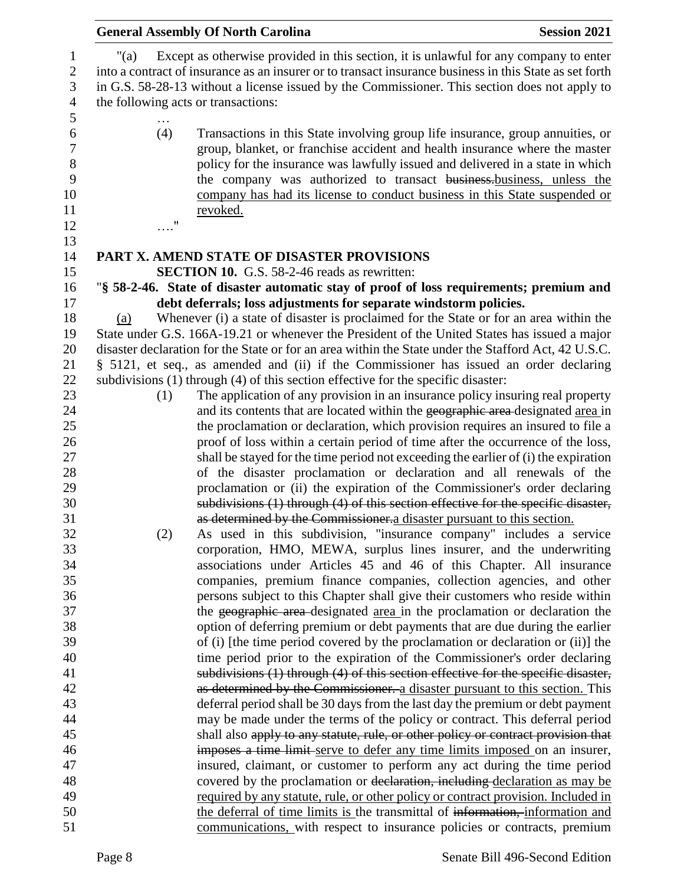|         |            | <b>General Assembly Of North Carolina</b>                                                                                                                                                                                                                                                                                                                                                                         | <b>Session 2021</b> |
|---------|------------|-------------------------------------------------------------------------------------------------------------------------------------------------------------------------------------------------------------------------------------------------------------------------------------------------------------------------------------------------------------------------------------------------------------------|---------------------|
| " $(a)$ |            | Except as otherwise provided in this section, it is unlawful for any company to enter<br>into a contract of insurance as an insurer or to transact insurance business in this State as set forth<br>in G.S. 58-28-13 without a license issued by the Commissioner. This section does not apply to<br>the following acts or transactions:                                                                          |                     |
|         | (4)        | Transactions in this State involving group life insurance, group annuities, or<br>group, blanket, or franchise accident and health insurance where the master<br>policy for the insurance was lawfully issued and delivered in a state in which<br>the company was authorized to transact business-business, unless the<br>company has had its license to conduct business in this State suspended or<br>revoked. |                     |
|         | $\ldots$ " |                                                                                                                                                                                                                                                                                                                                                                                                                   |                     |
|         |            | PART X. AMEND STATE OF DISASTER PROVISIONS                                                                                                                                                                                                                                                                                                                                                                        |                     |
|         |            | <b>SECTION 10.</b> G.S. 58-2-46 reads as rewritten:                                                                                                                                                                                                                                                                                                                                                               |                     |
|         |            | "§ 58-2-46. State of disaster automatic stay of proof of loss requirements; premium and                                                                                                                                                                                                                                                                                                                           |                     |
|         |            | debt deferrals; loss adjustments for separate windstorm policies.                                                                                                                                                                                                                                                                                                                                                 |                     |
| (a)     |            | Whenever (i) a state of disaster is proclaimed for the State or for an area within the                                                                                                                                                                                                                                                                                                                            |                     |
|         |            | State under G.S. 166A-19.21 or whenever the President of the United States has issued a major                                                                                                                                                                                                                                                                                                                     |                     |
|         |            | disaster declaration for the State or for an area within the State under the Stafford Act, 42 U.S.C.                                                                                                                                                                                                                                                                                                              |                     |
|         |            | § 5121, et seq., as amended and (ii) if the Commissioner has issued an order declaring                                                                                                                                                                                                                                                                                                                            |                     |
|         |            | subdivisions (1) through (4) of this section effective for the specific disaster:                                                                                                                                                                                                                                                                                                                                 |                     |
|         | (1)        | The application of any provision in an insurance policy insuring real property                                                                                                                                                                                                                                                                                                                                    |                     |
|         |            | and its contents that are located within the geographic area-designated area in                                                                                                                                                                                                                                                                                                                                   |                     |
|         |            | the proclamation or declaration, which provision requires an insured to file a                                                                                                                                                                                                                                                                                                                                    |                     |
|         |            | proof of loss within a certain period of time after the occurrence of the loss,                                                                                                                                                                                                                                                                                                                                   |                     |
|         |            | shall be stayed for the time period not exceeding the earlier of (i) the expiration                                                                                                                                                                                                                                                                                                                               |                     |
|         |            | of the disaster proclamation or declaration and all renewals of the                                                                                                                                                                                                                                                                                                                                               |                     |
|         |            | proclamation or (ii) the expiration of the Commissioner's order declaring                                                                                                                                                                                                                                                                                                                                         |                     |
|         |            | subdivisions (1) through (4) of this section effective for the specific disaster,                                                                                                                                                                                                                                                                                                                                 |                     |
|         |            | as determined by the Commissioner. a disaster pursuant to this section.                                                                                                                                                                                                                                                                                                                                           |                     |
|         | (2)        | As used in this subdivision, "insurance company" includes a service                                                                                                                                                                                                                                                                                                                                               |                     |
|         |            | corporation, HMO, MEWA, surplus lines insurer, and the underwriting<br>associations under Articles 45 and 46 of this Chapter. All insurance                                                                                                                                                                                                                                                                       |                     |
|         |            | companies, premium finance companies, collection agencies, and other                                                                                                                                                                                                                                                                                                                                              |                     |
|         |            | persons subject to this Chapter shall give their customers who reside within                                                                                                                                                                                                                                                                                                                                      |                     |
|         |            | the geographic area designated area in the proclamation or declaration the                                                                                                                                                                                                                                                                                                                                        |                     |
|         |            | option of deferring premium or debt payments that are due during the earlier                                                                                                                                                                                                                                                                                                                                      |                     |
|         |            | of (i) [the time period covered by the proclamation or declaration or (ii)] the                                                                                                                                                                                                                                                                                                                                   |                     |
|         |            | time period prior to the expiration of the Commissioner's order declaring                                                                                                                                                                                                                                                                                                                                         |                     |
|         |            | subdivisions (1) through (4) of this section effective for the specific disaster,                                                                                                                                                                                                                                                                                                                                 |                     |
|         |            | as determined by the Commissioner. a disaster pursuant to this section. This                                                                                                                                                                                                                                                                                                                                      |                     |
|         |            | deferral period shall be 30 days from the last day the premium or debt payment                                                                                                                                                                                                                                                                                                                                    |                     |
|         |            | may be made under the terms of the policy or contract. This deferral period                                                                                                                                                                                                                                                                                                                                       |                     |
|         |            | shall also apply to any statute, rule, or other policy or contract provision that                                                                                                                                                                                                                                                                                                                                 |                     |
|         |            | imposes a time limit-serve to defer any time limits imposed on an insurer,                                                                                                                                                                                                                                                                                                                                        |                     |
|         |            | insured, claimant, or customer to perform any act during the time period                                                                                                                                                                                                                                                                                                                                          |                     |
|         |            | covered by the proclamation or declaration, including declaration as may be                                                                                                                                                                                                                                                                                                                                       |                     |
|         |            | required by any statute, rule, or other policy or contract provision. Included in                                                                                                                                                                                                                                                                                                                                 |                     |
|         |            | the deferral of time limits is the transmittal of information, information and                                                                                                                                                                                                                                                                                                                                    |                     |
|         |            | communications, with respect to insurance policies or contracts, premium                                                                                                                                                                                                                                                                                                                                          |                     |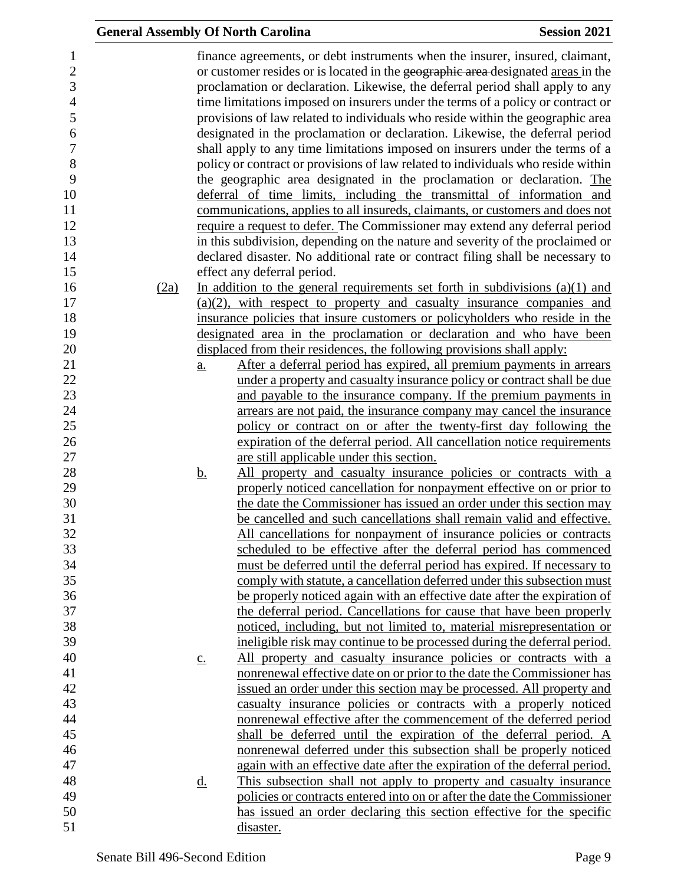| <b>General Assembly Of North Carolina</b> |                   |                                                                                                                                                                                                                                                                                                                                                                                                                                                                                                                                                                                                                                                                                                                                                                                                                                                                                                                                                                                                                                                                                 | <b>Session 2021</b> |
|-------------------------------------------|-------------------|---------------------------------------------------------------------------------------------------------------------------------------------------------------------------------------------------------------------------------------------------------------------------------------------------------------------------------------------------------------------------------------------------------------------------------------------------------------------------------------------------------------------------------------------------------------------------------------------------------------------------------------------------------------------------------------------------------------------------------------------------------------------------------------------------------------------------------------------------------------------------------------------------------------------------------------------------------------------------------------------------------------------------------------------------------------------------------|---------------------|
|                                           |                   | finance agreements, or debt instruments when the insurer, insured, claimant,<br>or customer resides or is located in the geographic area designated areas in the<br>proclamation or declaration. Likewise, the deferral period shall apply to any<br>time limitations imposed on insurers under the terms of a policy or contract or<br>provisions of law related to individuals who reside within the geographic area<br>designated in the proclamation or declaration. Likewise, the deferral period<br>shall apply to any time limitations imposed on insurers under the terms of a<br>policy or contract or provisions of law related to individuals who reside within<br>the geographic area designated in the proclamation or declaration. The<br>deferral of time limits, including the transmittal of information and<br>communications, applies to all insureds, claimants, or customers and does not<br>require a request to defer. The Commissioner may extend any deferral period<br>in this subdivision, depending on the nature and severity of the proclaimed or |                     |
|                                           |                   | declared disaster. No additional rate or contract filing shall be necessary to                                                                                                                                                                                                                                                                                                                                                                                                                                                                                                                                                                                                                                                                                                                                                                                                                                                                                                                                                                                                  |                     |
| (2a)                                      |                   | effect any deferral period.<br>In addition to the general requirements set forth in subdivisions $(a)(1)$ and                                                                                                                                                                                                                                                                                                                                                                                                                                                                                                                                                                                                                                                                                                                                                                                                                                                                                                                                                                   |                     |
|                                           |                   | $(a)(2)$ , with respect to property and casualty insurance companies and                                                                                                                                                                                                                                                                                                                                                                                                                                                                                                                                                                                                                                                                                                                                                                                                                                                                                                                                                                                                        |                     |
|                                           |                   | insurance policies that insure customers or policyholders who reside in the                                                                                                                                                                                                                                                                                                                                                                                                                                                                                                                                                                                                                                                                                                                                                                                                                                                                                                                                                                                                     |                     |
|                                           |                   | designated area in the proclamation or declaration and who have been                                                                                                                                                                                                                                                                                                                                                                                                                                                                                                                                                                                                                                                                                                                                                                                                                                                                                                                                                                                                            |                     |
|                                           |                   | displaced from their residences, the following provisions shall apply:                                                                                                                                                                                                                                                                                                                                                                                                                                                                                                                                                                                                                                                                                                                                                                                                                                                                                                                                                                                                          |                     |
|                                           | $\underline{a}$ . | After a deferral period has expired, all premium payments in arrears                                                                                                                                                                                                                                                                                                                                                                                                                                                                                                                                                                                                                                                                                                                                                                                                                                                                                                                                                                                                            |                     |
|                                           |                   | under a property and casualty insurance policy or contract shall be due                                                                                                                                                                                                                                                                                                                                                                                                                                                                                                                                                                                                                                                                                                                                                                                                                                                                                                                                                                                                         |                     |
|                                           |                   | and payable to the insurance company. If the premium payments in                                                                                                                                                                                                                                                                                                                                                                                                                                                                                                                                                                                                                                                                                                                                                                                                                                                                                                                                                                                                                |                     |
|                                           |                   | arrears are not paid, the insurance company may cancel the insurance                                                                                                                                                                                                                                                                                                                                                                                                                                                                                                                                                                                                                                                                                                                                                                                                                                                                                                                                                                                                            |                     |
|                                           |                   | policy or contract on or after the twenty-first day following the                                                                                                                                                                                                                                                                                                                                                                                                                                                                                                                                                                                                                                                                                                                                                                                                                                                                                                                                                                                                               |                     |
|                                           |                   | expiration of the deferral period. All cancellation notice requirements                                                                                                                                                                                                                                                                                                                                                                                                                                                                                                                                                                                                                                                                                                                                                                                                                                                                                                                                                                                                         |                     |
|                                           |                   | are still applicable under this section.                                                                                                                                                                                                                                                                                                                                                                                                                                                                                                                                                                                                                                                                                                                                                                                                                                                                                                                                                                                                                                        |                     |
|                                           | <u>b.</u>         | All property and casualty insurance policies or contracts with a<br>properly noticed cancellation for nonpayment effective on or prior to                                                                                                                                                                                                                                                                                                                                                                                                                                                                                                                                                                                                                                                                                                                                                                                                                                                                                                                                       |                     |
|                                           |                   | the date the Commissioner has issued an order under this section may                                                                                                                                                                                                                                                                                                                                                                                                                                                                                                                                                                                                                                                                                                                                                                                                                                                                                                                                                                                                            |                     |
|                                           |                   | be cancelled and such cancellations shall remain valid and effective.                                                                                                                                                                                                                                                                                                                                                                                                                                                                                                                                                                                                                                                                                                                                                                                                                                                                                                                                                                                                           |                     |
|                                           |                   | All cancellations for nonpayment of insurance policies or contracts                                                                                                                                                                                                                                                                                                                                                                                                                                                                                                                                                                                                                                                                                                                                                                                                                                                                                                                                                                                                             |                     |
|                                           |                   | scheduled to be effective after the deferral period has commenced                                                                                                                                                                                                                                                                                                                                                                                                                                                                                                                                                                                                                                                                                                                                                                                                                                                                                                                                                                                                               |                     |
|                                           |                   | must be deferred until the deferral period has expired. If necessary to                                                                                                                                                                                                                                                                                                                                                                                                                                                                                                                                                                                                                                                                                                                                                                                                                                                                                                                                                                                                         |                     |
|                                           |                   | comply with statute, a cancellation deferred under this subsection must                                                                                                                                                                                                                                                                                                                                                                                                                                                                                                                                                                                                                                                                                                                                                                                                                                                                                                                                                                                                         |                     |
|                                           |                   | be properly noticed again with an effective date after the expiration of                                                                                                                                                                                                                                                                                                                                                                                                                                                                                                                                                                                                                                                                                                                                                                                                                                                                                                                                                                                                        |                     |
|                                           |                   | the deferral period. Cancellations for cause that have been properly                                                                                                                                                                                                                                                                                                                                                                                                                                                                                                                                                                                                                                                                                                                                                                                                                                                                                                                                                                                                            |                     |
|                                           |                   | noticed, including, but not limited to, material misrepresentation or                                                                                                                                                                                                                                                                                                                                                                                                                                                                                                                                                                                                                                                                                                                                                                                                                                                                                                                                                                                                           |                     |
|                                           |                   | ineligible risk may continue to be processed during the deferral period.                                                                                                                                                                                                                                                                                                                                                                                                                                                                                                                                                                                                                                                                                                                                                                                                                                                                                                                                                                                                        |                     |
|                                           | $\underline{c}$ . | All property and casualty insurance policies or contracts with a                                                                                                                                                                                                                                                                                                                                                                                                                                                                                                                                                                                                                                                                                                                                                                                                                                                                                                                                                                                                                |                     |
|                                           |                   | nonrenewal effective date on or prior to the date the Commissioner has                                                                                                                                                                                                                                                                                                                                                                                                                                                                                                                                                                                                                                                                                                                                                                                                                                                                                                                                                                                                          |                     |
|                                           |                   | issued an order under this section may be processed. All property and                                                                                                                                                                                                                                                                                                                                                                                                                                                                                                                                                                                                                                                                                                                                                                                                                                                                                                                                                                                                           |                     |
|                                           |                   | casualty insurance policies or contracts with a properly noticed                                                                                                                                                                                                                                                                                                                                                                                                                                                                                                                                                                                                                                                                                                                                                                                                                                                                                                                                                                                                                |                     |
|                                           |                   | nonrenewal effective after the commencement of the deferred period<br>shall be deferred until the expiration of the deferral period. A                                                                                                                                                                                                                                                                                                                                                                                                                                                                                                                                                                                                                                                                                                                                                                                                                                                                                                                                          |                     |
|                                           |                   | nonrenewal deferred under this subsection shall be properly noticed                                                                                                                                                                                                                                                                                                                                                                                                                                                                                                                                                                                                                                                                                                                                                                                                                                                                                                                                                                                                             |                     |
|                                           |                   | again with an effective date after the expiration of the deferral period.                                                                                                                                                                                                                                                                                                                                                                                                                                                                                                                                                                                                                                                                                                                                                                                                                                                                                                                                                                                                       |                     |
|                                           | <u>d.</u>         | This subsection shall not apply to property and casualty insurance                                                                                                                                                                                                                                                                                                                                                                                                                                                                                                                                                                                                                                                                                                                                                                                                                                                                                                                                                                                                              |                     |
|                                           |                   | policies or contracts entered into on or after the date the Commissioner                                                                                                                                                                                                                                                                                                                                                                                                                                                                                                                                                                                                                                                                                                                                                                                                                                                                                                                                                                                                        |                     |
|                                           |                   | has issued an order declaring this section effective for the specific                                                                                                                                                                                                                                                                                                                                                                                                                                                                                                                                                                                                                                                                                                                                                                                                                                                                                                                                                                                                           |                     |
|                                           |                   | disaster.                                                                                                                                                                                                                                                                                                                                                                                                                                                                                                                                                                                                                                                                                                                                                                                                                                                                                                                                                                                                                                                                       |                     |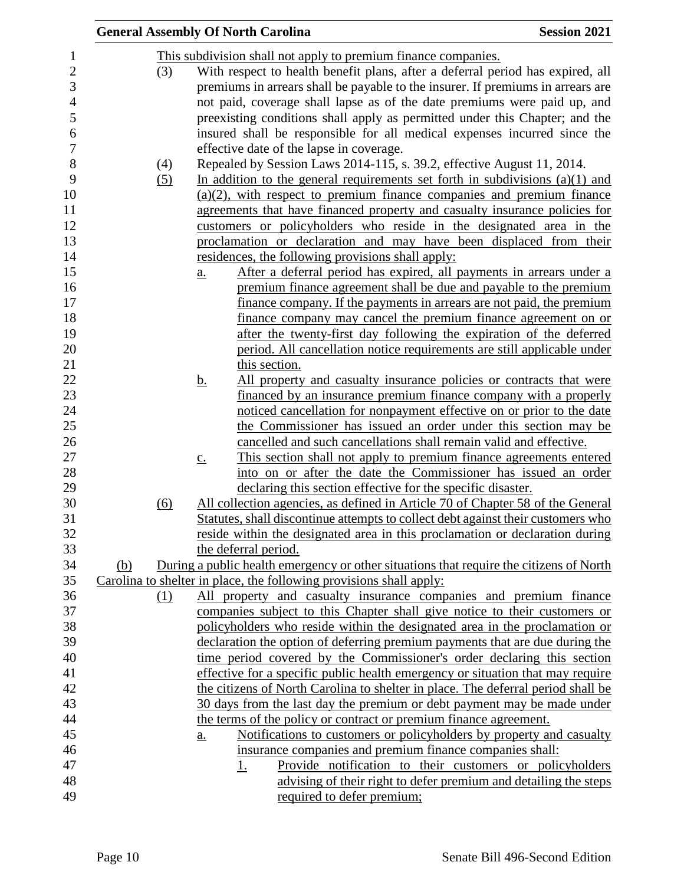|     |     | <b>General Assembly Of North Carolina</b>                                                                                                                      | <b>Session 2021</b> |
|-----|-----|----------------------------------------------------------------------------------------------------------------------------------------------------------------|---------------------|
|     |     | This subdivision shall not apply to premium finance companies.                                                                                                 |                     |
|     | (3) | With respect to health benefit plans, after a deferral period has expired, all                                                                                 |                     |
|     |     | premiums in arrears shall be payable to the insurer. If premiums in arrears are                                                                                |                     |
|     |     | not paid, coverage shall lapse as of the date premiums were paid up, and                                                                                       |                     |
|     |     | preexisting conditions shall apply as permitted under this Chapter; and the                                                                                    |                     |
|     |     | insured shall be responsible for all medical expenses incurred since the                                                                                       |                     |
|     |     | effective date of the lapse in coverage.                                                                                                                       |                     |
|     | (4) | Repealed by Session Laws 2014-115, s. 39.2, effective August 11, 2014.                                                                                         |                     |
|     | (5) | In addition to the general requirements set forth in subdivisions $(a)(1)$ and                                                                                 |                     |
|     |     | $(a)(2)$ , with respect to premium finance companies and premium finance                                                                                       |                     |
|     |     | agreements that have financed property and casualty insurance policies for                                                                                     |                     |
|     |     | customers or policyholders who reside in the designated area in the                                                                                            |                     |
|     |     | proclamation or declaration and may have been displaced from their                                                                                             |                     |
|     |     |                                                                                                                                                                |                     |
|     |     | residences, the following provisions shall apply:                                                                                                              |                     |
|     |     | After a deferral period has expired, all payments in arrears under a<br>$\underline{a}$ .<br>premium finance agreement shall be due and payable to the premium |                     |
|     |     |                                                                                                                                                                |                     |
|     |     | finance company. If the payments in arrears are not paid, the premium                                                                                          |                     |
|     |     | <u>finance company may cancel the premium finance agreement on or</u>                                                                                          |                     |
|     |     | after the twenty-first day following the expiration of the deferred                                                                                            |                     |
|     |     | period. All cancellation notice requirements are still applicable under                                                                                        |                     |
|     |     | this section.                                                                                                                                                  |                     |
|     |     | All property and casualty insurance policies or contracts that were<br><u>b.</u>                                                                               |                     |
|     |     | financed by an insurance premium finance company with a properly                                                                                               |                     |
|     |     | noticed cancellation for nonpayment effective on or prior to the date                                                                                          |                     |
|     |     | the Commissioner has issued an order under this section may be                                                                                                 |                     |
|     |     | cancelled and such cancellations shall remain valid and effective.                                                                                             |                     |
|     |     | This section shall not apply to premium finance agreements entered<br>$\underline{c}$ .                                                                        |                     |
|     |     | into on or after the date the Commissioner has issued an order                                                                                                 |                     |
|     |     | declaring this section effective for the specific disaster.                                                                                                    |                     |
|     | (6) | All collection agencies, as defined in Article 70 of Chapter 58 of the General                                                                                 |                     |
|     |     | Statutes, shall discontinue attempts to collect debt against their customers who                                                                               |                     |
|     |     | reside within the designated area in this proclamation or declaration during                                                                                   |                     |
|     |     | the deferral period.                                                                                                                                           |                     |
| (b) |     | During a public health emergency or other situations that require the citizens of North                                                                        |                     |
|     |     | Carolina to shelter in place, the following provisions shall apply:                                                                                            |                     |
|     | (1) | All property and casualty insurance companies and premium finance                                                                                              |                     |
|     |     | companies subject to this Chapter shall give notice to their customers or                                                                                      |                     |
|     |     | policyholders who reside within the designated area in the proclamation or                                                                                     |                     |
|     |     | declaration the option of deferring premium payments that are due during the                                                                                   |                     |
|     |     | time period covered by the Commissioner's order declaring this section                                                                                         |                     |
|     |     | effective for a specific public health emergency or situation that may require                                                                                 |                     |
|     |     | the citizens of North Carolina to shelter in place. The deferral period shall be                                                                               |                     |
|     |     | 30 days from the last day the premium or debt payment may be made under                                                                                        |                     |
|     |     | the terms of the policy or contract or premium finance agreement.                                                                                              |                     |
|     |     | Notifications to customers or policyholders by property and casualty<br>a.                                                                                     |                     |
|     |     | insurance companies and premium finance companies shall:                                                                                                       |                     |
|     |     | Provide notification to their customers or policyholders<br><u>1.</u>                                                                                          |                     |
|     |     | advising of their right to defer premium and detailing the steps                                                                                               |                     |
|     |     | required to defer premium;                                                                                                                                     |                     |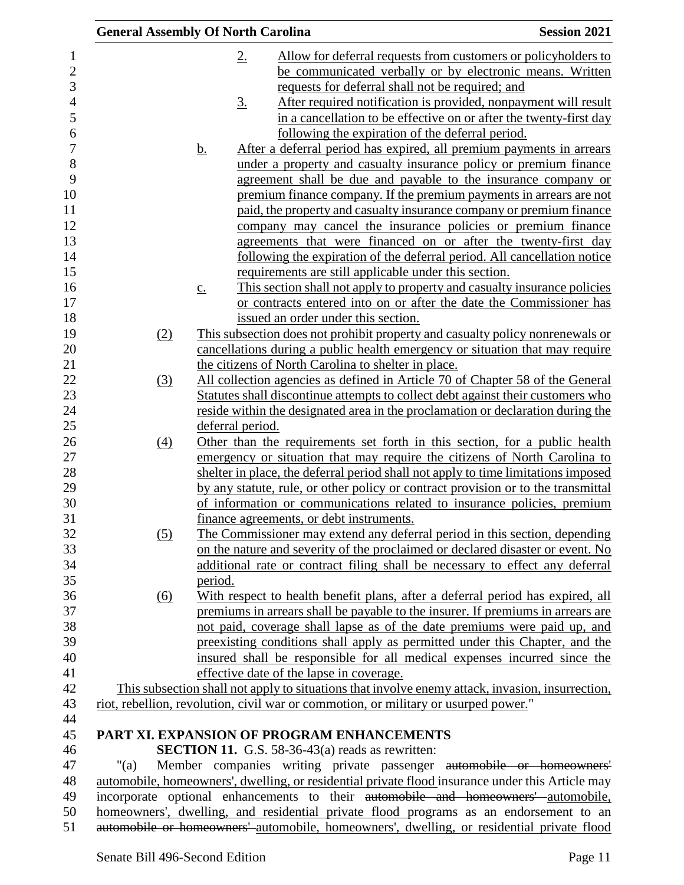| <b>General Assembly Of North Carolina</b> |                   |                   |                                                                                     | <b>Session 2021</b>                                                                                                                                                                   |
|-------------------------------------------|-------------------|-------------------|-------------------------------------------------------------------------------------|---------------------------------------------------------------------------------------------------------------------------------------------------------------------------------------|
|                                           |                   | $2_{\cdot}$       |                                                                                     | Allow for deferral requests from customers or policyholders to                                                                                                                        |
|                                           |                   |                   |                                                                                     | be communicated verbally or by electronic means. Written                                                                                                                              |
|                                           |                   |                   | requests for deferral shall not be required; and                                    |                                                                                                                                                                                       |
|                                           |                   | $\underline{3}$ . |                                                                                     | After required notification is provided, nonpayment will result                                                                                                                       |
|                                           |                   |                   |                                                                                     | in a cancellation to be effective on or after the twenty-first day                                                                                                                    |
|                                           |                   |                   | following the expiration of the deferral period.                                    |                                                                                                                                                                                       |
|                                           | <u>b.</u>         |                   |                                                                                     | After a deferral period has expired, all premium payments in arrears                                                                                                                  |
|                                           |                   |                   |                                                                                     | under a property and casualty insurance policy or premium finance                                                                                                                     |
|                                           |                   |                   |                                                                                     | agreement shall be due and payable to the insurance company or                                                                                                                        |
|                                           |                   |                   |                                                                                     | premium finance company. If the premium payments in arrears are not                                                                                                                   |
|                                           |                   |                   |                                                                                     | paid, the property and casualty insurance company or premium finance                                                                                                                  |
|                                           |                   |                   |                                                                                     | company may cancel the insurance policies or premium finance                                                                                                                          |
|                                           |                   |                   |                                                                                     | agreements that were financed on or after the twenty-first day                                                                                                                        |
|                                           |                   |                   |                                                                                     | following the expiration of the deferral period. All cancellation notice                                                                                                              |
|                                           |                   |                   | requirements are still applicable under this section.                               |                                                                                                                                                                                       |
|                                           | $\underline{c}$ . |                   |                                                                                     | This section shall not apply to property and casualty insurance policies                                                                                                              |
|                                           |                   |                   |                                                                                     | or contracts entered into on or after the date the Commissioner has                                                                                                                   |
|                                           |                   |                   | issued an order under this section.                                                 |                                                                                                                                                                                       |
| (2)                                       |                   |                   |                                                                                     | This subsection does not prohibit property and casualty policy nonrenewals or                                                                                                         |
|                                           |                   |                   |                                                                                     | cancellations during a public health emergency or situation that may require                                                                                                          |
|                                           |                   |                   | the citizens of North Carolina to shelter in place.                                 |                                                                                                                                                                                       |
| (3)                                       |                   |                   |                                                                                     | All collection agencies as defined in Article 70 of Chapter 58 of the General                                                                                                         |
|                                           |                   |                   |                                                                                     | Statutes shall discontinue attempts to collect debt against their customers who                                                                                                       |
|                                           |                   |                   |                                                                                     | reside within the designated area in the proclamation or declaration during the                                                                                                       |
|                                           |                   | deferral period.  |                                                                                     |                                                                                                                                                                                       |
| $\underline{(4)}$                         |                   |                   |                                                                                     | Other than the requirements set forth in this section, for a public health                                                                                                            |
|                                           |                   |                   |                                                                                     | emergency or situation that may require the citizens of North Carolina to                                                                                                             |
|                                           |                   |                   |                                                                                     | shelter in place, the deferral period shall not apply to time limitations imposed                                                                                                     |
|                                           |                   |                   |                                                                                     | by any statute, rule, or other policy or contract provision or to the transmittal                                                                                                     |
|                                           |                   |                   |                                                                                     | of information or communications related to insurance policies, premium                                                                                                               |
|                                           |                   |                   | finance agreements, or debt instruments.                                            |                                                                                                                                                                                       |
| (5)                                       |                   |                   |                                                                                     | The Commissioner may extend any deferral period in this section, depending                                                                                                            |
|                                           |                   |                   |                                                                                     | on the nature and severity of the proclaimed or declared disaster or event. No                                                                                                        |
|                                           |                   |                   |                                                                                     | additional rate or contract filing shall be necessary to effect any deferral                                                                                                          |
|                                           | period.           |                   |                                                                                     |                                                                                                                                                                                       |
| $\underline{(6)}$                         |                   |                   |                                                                                     | With respect to health benefit plans, after a deferral period has expired, all                                                                                                        |
|                                           |                   |                   |                                                                                     | premiums in arrears shall be payable to the insurer. If premiums in arrears are                                                                                                       |
|                                           |                   |                   |                                                                                     | not paid, coverage shall lapse as of the date premiums were paid up, and                                                                                                              |
|                                           |                   |                   |                                                                                     | preexisting conditions shall apply as permitted under this Chapter, and the                                                                                                           |
|                                           |                   |                   |                                                                                     | insured shall be responsible for all medical expenses incurred since the                                                                                                              |
|                                           |                   |                   | effective date of the lapse in coverage.                                            |                                                                                                                                                                                       |
|                                           |                   |                   |                                                                                     | This subsection shall not apply to situations that involve enemy attack, invasion, insurrection,                                                                                      |
|                                           |                   |                   | riot, rebellion, revolution, civil war or commotion, or military or usurped power." |                                                                                                                                                                                       |
|                                           |                   |                   |                                                                                     |                                                                                                                                                                                       |
|                                           |                   |                   | PART XI. EXPANSION OF PROGRAM ENHANCEMENTS                                          |                                                                                                                                                                                       |
|                                           |                   |                   | <b>SECTION 11.</b> G.S. 58-36-43(a) reads as rewritten:                             |                                                                                                                                                                                       |
| "(a)                                      |                   |                   |                                                                                     | Member companies writing private passenger automobile or homeowners'                                                                                                                  |
|                                           |                   |                   |                                                                                     | automobile, homeowners', dwelling, or residential private flood insurance under this Article may<br>incorporate optional enhancements to their automobile and homeowners' automobile, |
|                                           |                   |                   |                                                                                     | homeowners', dwelling, and residential private flood programs as an endorsement to an                                                                                                 |
|                                           |                   |                   |                                                                                     | automobile or homeowners' automobile, homeowners', dwelling, or residential private flood                                                                                             |
|                                           |                   |                   |                                                                                     |                                                                                                                                                                                       |